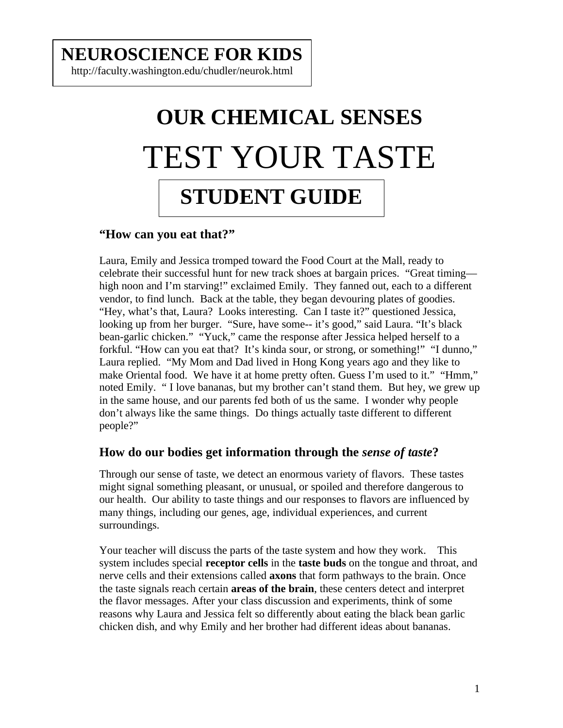## **NEUROSCIENCE FOR KIDS**

http://faculty.washington.edu/chudler/neurok.html

# **OUR CHEMICAL SENSES** TEST YOUR TASTE **STUDENT GUIDE**

### **"How can you eat that?"**

Laura, Emily and Jessica tromped toward the Food Court at the Mall, ready to celebrate their successful hunt for new track shoes at bargain prices. "Great timing high noon and I'm starving!" exclaimed Emily. They fanned out, each to a different vendor, to find lunch. Back at the table, they began devouring plates of goodies. "Hey, what's that, Laura? Looks interesting. Can I taste it?" questioned Jessica, looking up from her burger. "Sure, have some-- it's good," said Laura. "It's black bean-garlic chicken." "Yuck," came the response after Jessica helped herself to a forkful. "How can you eat that? It's kinda sour, or strong, or something!" "I dunno," Laura replied. "My Mom and Dad lived in Hong Kong years ago and they like to make Oriental food. We have it at home pretty often. Guess I'm used to it." "Hmm," noted Emily. " I love bananas, but my brother can't stand them. But hey, we grew up in the same house, and our parents fed both of us the same. I wonder why people don't always like the same things. Do things actually taste different to different people?"

### **How do our bodies get information through the** *sense of taste***?**

Through our sense of taste, we detect an enormous variety of flavors. These tastes might signal something pleasant, or unusual, or spoiled and therefore dangerous to our health. Our ability to taste things and our responses to flavors are influenced by many things, including our genes, age, individual experiences, and current surroundings.

Your teacher will discuss the parts of the taste system and how they work. This system includes special **receptor cells** in the **taste buds** on the tongue and throat, and nerve cells and their extensions called **axons** that form pathways to the brain. Once the taste signals reach certain **areas of the brain**, these centers detect and interpret the flavor messages. After your class discussion and experiments, think of some reasons why Laura and Jessica felt so differently about eating the black bean garlic chicken dish, and why Emily and her brother had different ideas about bananas.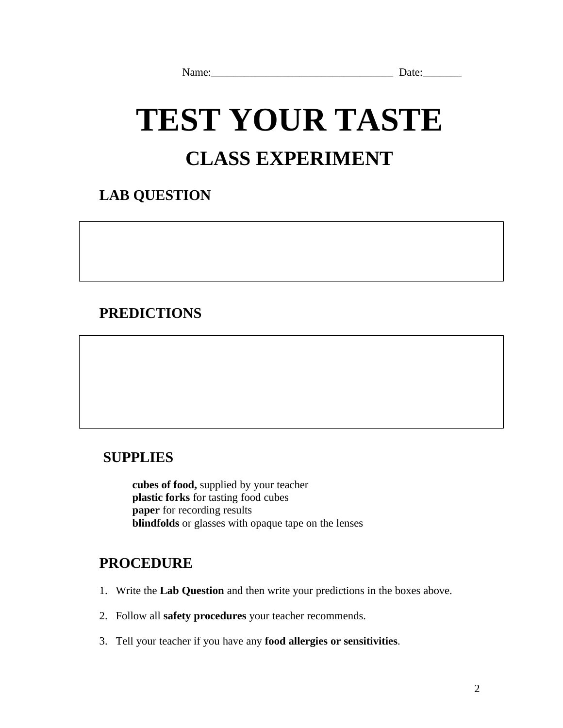# **TEST YOUR TASTE CLASS EXPERIMENT**

### **LAB QUESTION**

### **PREDICTIONS**

### **SUPPLIES**

**cubes of food,** supplied by your teacher **plastic forks** for tasting food cubes **paper** for recording results **blindfolds** or glasses with opaque tape on the lenses

### **PROCEDURE**

- 1. Write the **Lab Question** and then write your predictions in the boxes above.
- 2. Follow all **safety procedures** your teacher recommends.
- 3. Tell your teacher if you have any **food allergies or sensitivities**.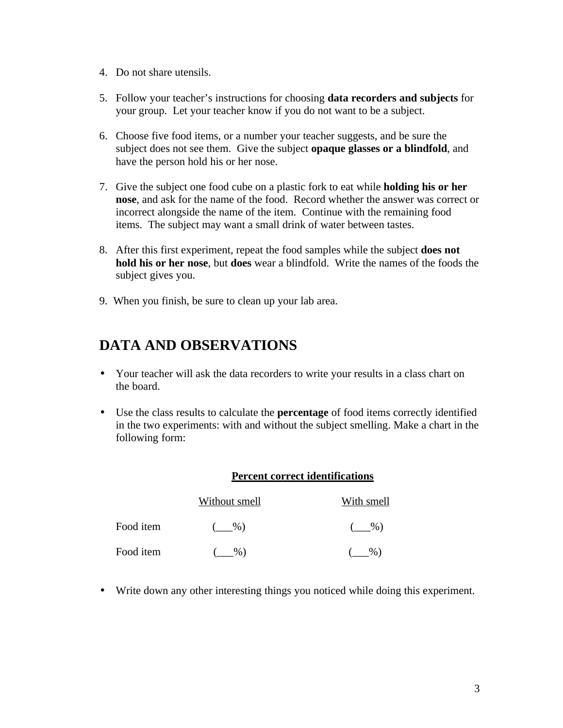- 4. Do not share utensils.
- 5. Follow your teacher's instructions for choosing **data recorders and subjects** for your group. Let your teacher know if you do not want to be a subject.
- 6. Choose five food items, or a number your teacher suggests, and be sure the subject does not see them. Give the subject **opaque glasses or a blindfold**, and have the person hold his or her nose.
- 7. Give the subject one food cube on a plastic fork to eat while **holding his or her nose**, and ask for the name of the food. Record whether the answer was correct or incorrect alongside the name of the item. Continue with the remaining food items. The subject may want a small drink of water between tastes.
- 8. After this first experiment, repeat the food samples while the subject **does not hold his or her nose**, but **does** wear a blindfold. Write the names of the foods the subject gives you.
- 9. When you finish, be sure to clean up your lab area.

### **DATA AND OBSERVATIONS**

- Your teacher will ask the data recorders to write your results in a class chart on the board.
- Use the class results to calculate the **percentage** of food items correctly identified in the two experiments: with and without the subject smelling. Make a chart in the following form:

#### **Percent correct identifications**

|           | Without smell | With smell |
|-----------|---------------|------------|
| Food item | $\%$ )        | $\%$ )     |
| Food item | $\%$          | $\%$       |

• Write down any other interesting things you noticed while doing this experiment.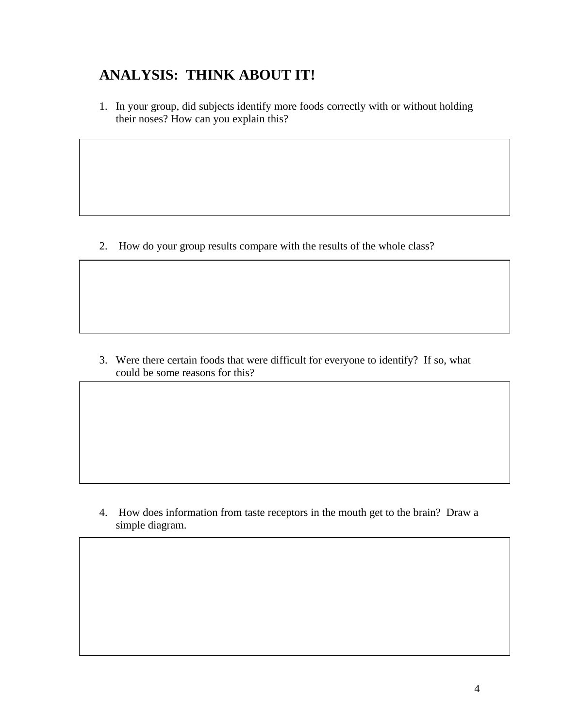### **ANALYSIS: THINK ABOUT IT!**

1. In your group, did subjects identify more foods correctly with or without holding their noses? How can you explain this?

2. How do your group results compare with the results of the whole class?

3. Were there certain foods that were difficult for everyone to identify? If so, what could be some reasons for this?

4. How does information from taste receptors in the mouth get to the brain? Draw a simple diagram.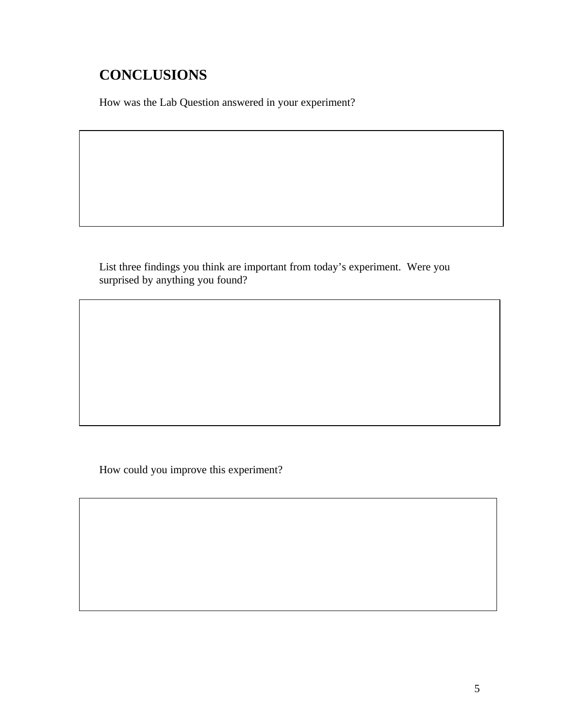## **CONCLUSIONS**

How was the Lab Question answered in your experiment?

List three findings you think are important from today's experiment. Were you surprised by anything you found?

How could you improve this experiment?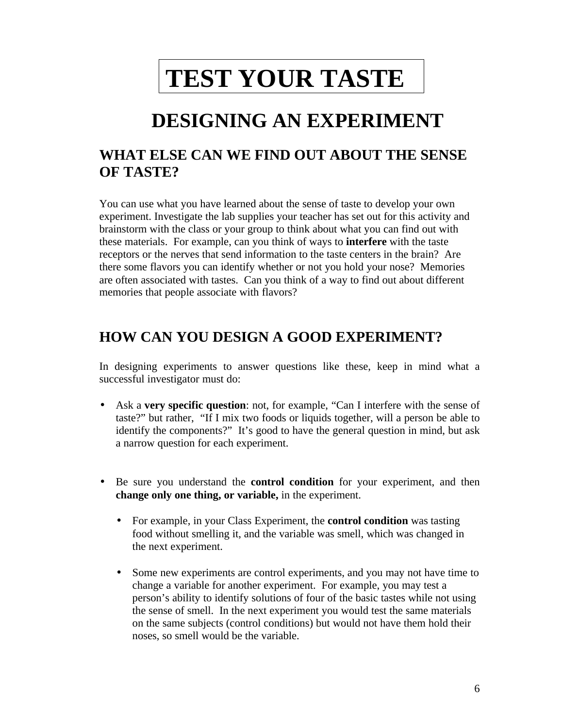# **TEST YOUR TASTE**

# **DESIGNING AN EXPERIMENT**

### **WHAT ELSE CAN WE FIND OUT ABOUT THE SENSE OF TASTE?**

You can use what you have learned about the sense of taste to develop your own experiment. Investigate the lab supplies your teacher has set out for this activity and brainstorm with the class or your group to think about what you can find out with these materials. For example, can you think of ways to **interfere** with the taste receptors or the nerves that send information to the taste centers in the brain? Are there some flavors you can identify whether or not you hold your nose? Memories are often associated with tastes. Can you think of a way to find out about different memories that people associate with flavors?

### **HOW CAN YOU DESIGN A GOOD EXPERIMENT?**

In designing experiments to answer questions like these, keep in mind what a successful investigator must do:

- Ask a **very specific question**: not, for example, "Can I interfere with the sense of taste?" but rather, "If I mix two foods or liquids together, will a person be able to identify the components?" It's good to have the general question in mind, but ask a narrow question for each experiment.
- Be sure you understand the **control condition** for your experiment, and then **change only one thing, or variable,** in the experiment.
	- For example, in your Class Experiment, the **control condition** was tasting food without smelling it, and the variable was smell, which was changed in the next experiment.
	- Some new experiments are control experiments, and you may not have time to change a variable for another experiment. For example, you may test a person's ability to identify solutions of four of the basic tastes while not using the sense of smell. In the next experiment you would test the same materials on the same subjects (control conditions) but would not have them hold their noses, so smell would be the variable.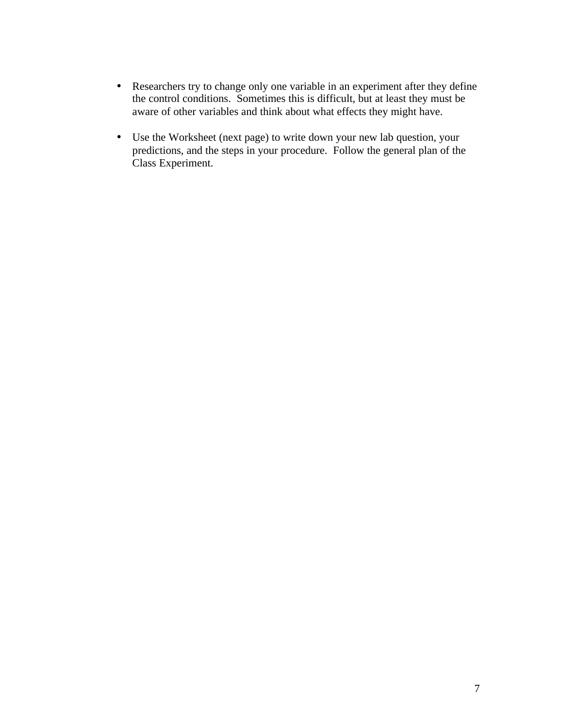- Researchers try to change only one variable in an experiment after they define the control conditions. Sometimes this is difficult, but at least they must be aware of other variables and think about what effects they might have.
- Use the Worksheet (next page) to write down your new lab question, your predictions, and the steps in your procedure. Follow the general plan of the Class Experiment.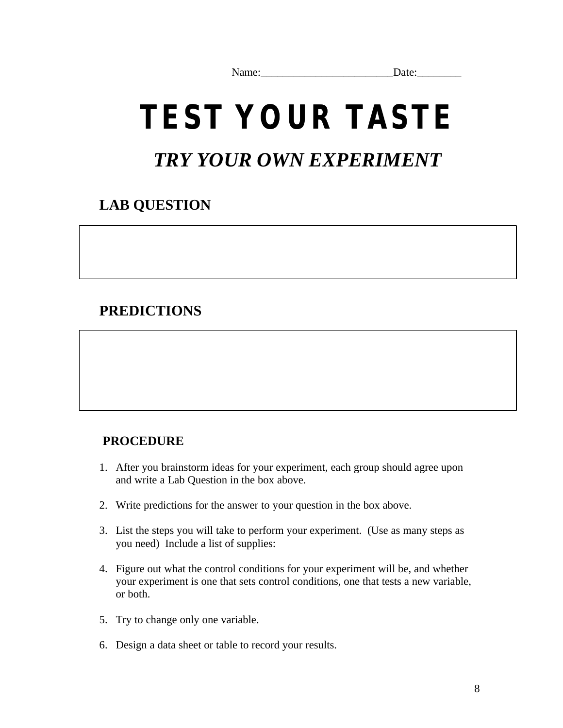Name: Date:

# **TEST YOUR TASTE**

## *TRY YOUR OWN EXPERIMENT*

## **LAB QUESTION**

### **PREDICTIONS**

### **PROCEDURE**

- 1. After you brainstorm ideas for your experiment, each group should agree upon and write a Lab Question in the box above.
- 2. Write predictions for the answer to your question in the box above.
- 3. List the steps you will take to perform your experiment. (Use as many steps as you need) Include a list of supplies:
- 4. Figure out what the control conditions for your experiment will be, and whether your experiment is one that sets control conditions, one that tests a new variable, or both.
- 5. Try to change only one variable.
- 6. Design a data sheet or table to record your results.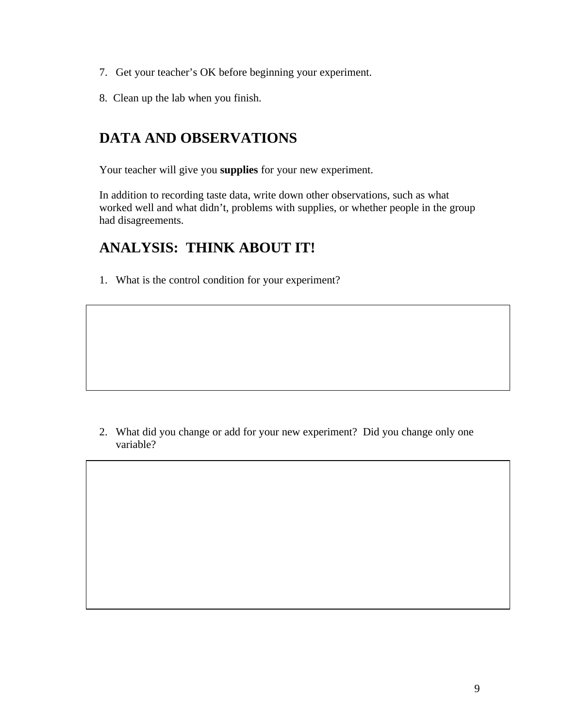- 7. Get your teacher's OK before beginning your experiment.
- 8. Clean up the lab when you finish.

### **DATA AND OBSERVATIONS**

Your teacher will give you **supplies** for your new experiment.

In addition to recording taste data, write down other observations, such as what worked well and what didn't, problems with supplies, or whether people in the group had disagreements.

### **ANALYSIS: THINK ABOUT IT!**

1. What is the control condition for your experiment?

2. What did you change or add for your new experiment? Did you change only one variable?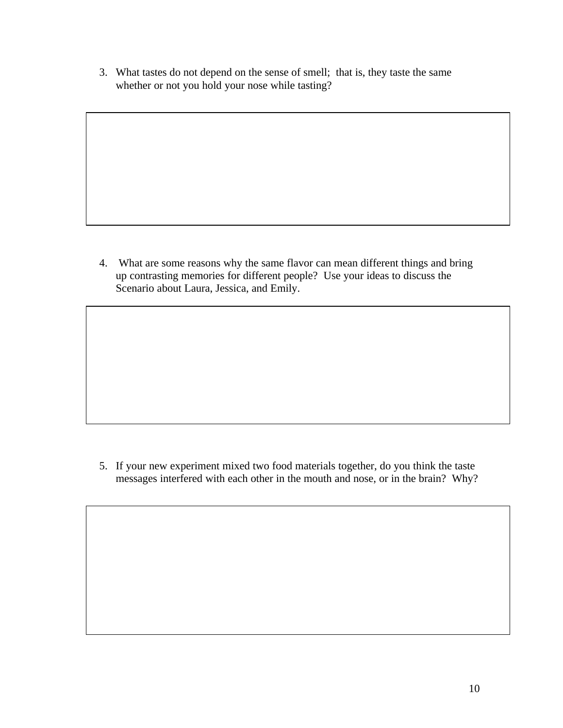3. What tastes do not depend on the sense of smell; that is, they taste the same whether or not you hold your nose while tasting?

4. What are some reasons why the same flavor can mean different things and bring up contrasting memories for different people? Use your ideas to discuss the Scenario about Laura, Jessica, and Emily.

5. If your new experiment mixed two food materials together, do you think the taste messages interfered with each other in the mouth and nose, or in the brain? Why?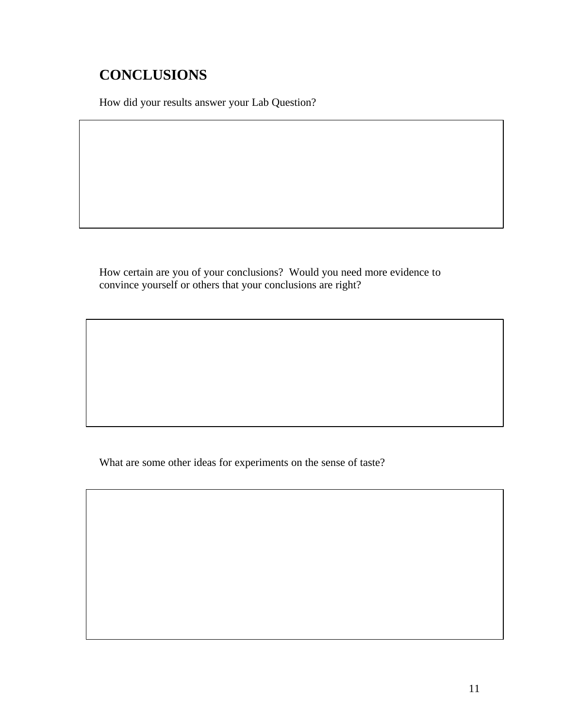## **CONCLUSIONS**

How did your results answer your Lab Question?

How certain are you of your conclusions? Would you need more evidence to convince yourself or others that your conclusions are right?

What are some other ideas for experiments on the sense of taste?